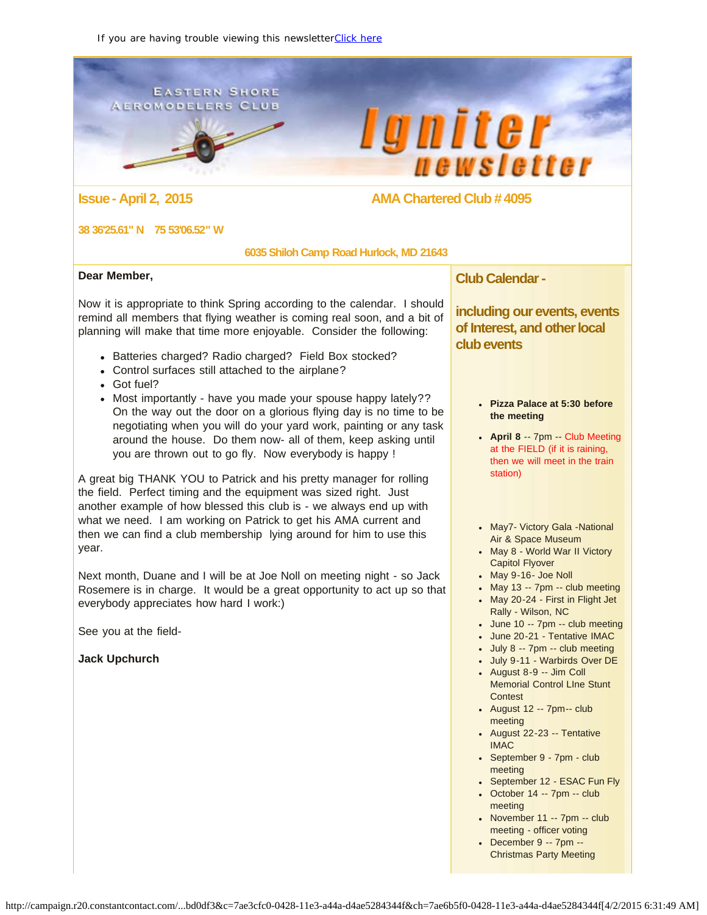<span id="page-0-0"></span>**EASTERN SHORE AEROMODELERS CLUB** 





### **Issue - April 2, 2015 AMA Chartered Club # 4095**

### **38 36'25.61" N 75 53'06.52" W**

### **6035 Shiloh Camp Road Hurlock, MD 21643**

### **Dear Member,**

Now it is appropriate to think Spring according to the calendar. I should remind all members that flying weather is coming real soon, and a bit of planning will make that time more enjoyable. Consider the following:

- Batteries charged? Radio charged? Field Box stocked?
- Control surfaces still attached to the airplane?
- Got fuel?
- Most importantly have you made your spouse happy lately?? On the way out the door on a glorious flying day is no time to be negotiating when you will do your yard work, painting or any task around the house. Do them now- all of them, keep asking until you are thrown out to go fly. Now everybody is happy !

A great big THANK YOU to Patrick and his pretty manager for rolling the field. Perfect timing and the equipment was sized right. Just another example of how blessed this club is - we always end up with what we need. I am working on Patrick to get his AMA current and then we can find a club membership lying around for him to use this year.

Next month, Duane and I will be at Joe Noll on meeting night - so Jack Rosemere is in charge. It would be a great opportunity to act up so that everybody appreciates how hard I work:)

See you at the field-

**Jack Upchurch**

**Club Calendar -**

**including our events, events of Interest, and other local club events**

- **Pizza Palace at 5:30 before the meeting**
- **April 8** -- 7pm -- Club Meeting at the FIELD (if it is raining, then we will meet in the train station)
- May7- Victory Gala -National Air & Space Museum
- May 8 World War II Victory Capitol Flyover
- May 9-16- Joe Noll
- May 13 -- 7pm -- club meeting
- May 20-24 First in Flight Jet Rally - Wilson, NC
- June 10 -- 7pm -- club meeting
- June 20-21 Tentative IMAC
- July 8 -- 7pm -- club meeting
- July 9-11 Warbirds Over DE
- August 8-9 -- Jim Coll Memorial Control LIne Stunt Contest
- August 12 -- 7pm-- club meeting
- August 22-23 -- Tentative IMAC
- September 9 7pm club meeting
- September 12 ESAC Fun Fly
- $\bullet$  October 14 -- 7pm -- club meeting
- $\bullet$  November 11 --  $7$ pm -- club meeting - officer voting
- December 9 -- 7pm -- Christmas Party Meeting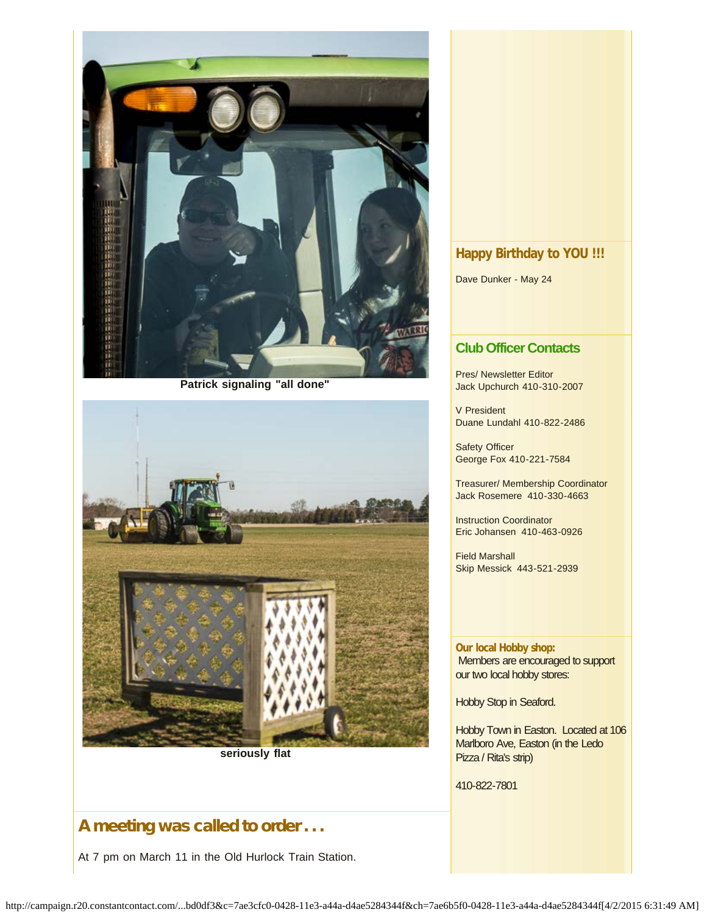

**Patrick signaling "all done"**



**seriously flat**

# A meeting was called to order . . .

At 7 pm on March 11 in the Old Hurlock Train Station.

# **Happy Birthday to YOU !!!**

Dave Dunker - May 24

## **Club Officer Contacts**

Pres/ Newsletter Editor Jack Upchurch 410-310-2007

V President Duane Lundahl 410-822-2486

Safety Officer George Fox 410-221-7584

Treasurer/ Membership Coordinator Jack Rosemere 410-330-4663

Instruction Coordinator Eric Johansen 410-463-0926

Field Marshall Skip Messick 443-521-2939

**Our local Hobby shop:** Members are encouraged to support our two local hobby stores:

Hobby Stop in Seaford.

Hobby Town in Easton. Located at 106 Marlboro Ave, Easton (in the Ledo Pizza / Rita's strip)

410-822-7801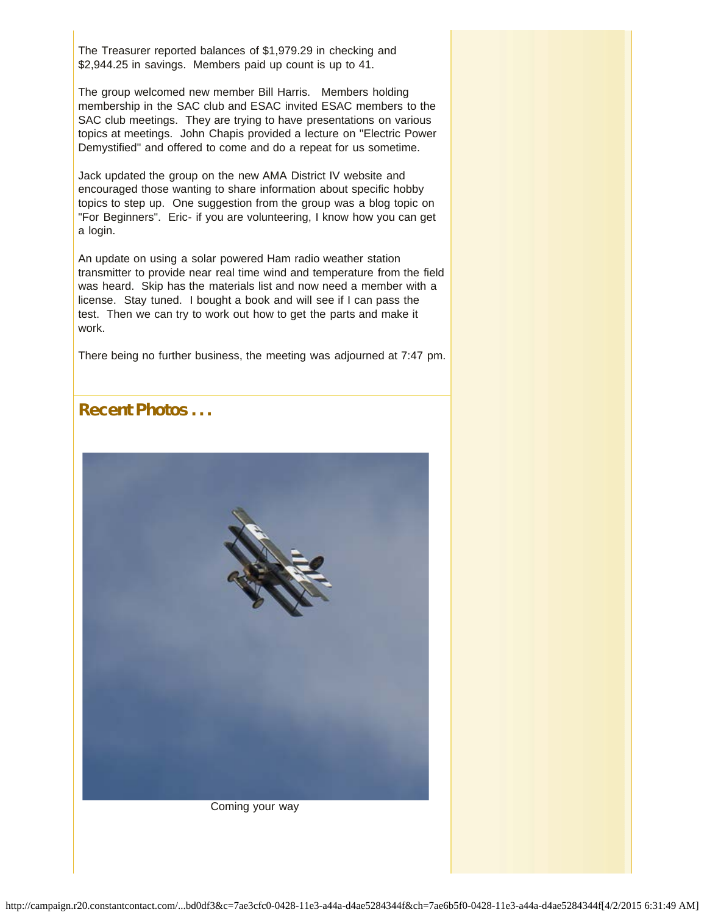The Treasurer reported balances of \$1,979.29 in checking and \$2,944.25 in savings. Members paid up count is up to 41.

The group welcomed new member Bill Harris. Members holding membership in the SAC club and ESAC invited ESAC members to the SAC club meetings. They are trying to have presentations on various topics at meetings. John Chapis provided a lecture on "Electric Power Demystified" and offered to come and do a repeat for us sometime.

Jack updated the group on the new AMA District IV website and encouraged those wanting to share information about specific hobby topics to step up. One suggestion from the group was a blog topic on "For Beginners". Eric- if you are volunteering, I know how you can get a login.

An update on using a solar powered Ham radio weather station transmitter to provide near real time wind and temperature from the field was heard. Skip has the materials list and now need a member with a license. Stay tuned. I bought a book and will see if I can pass the test. Then we can try to work out how to get the parts and make it work.

There being no further business, the meeting was adjourned at 7:47 pm.

Recent Photos ...



Coming your way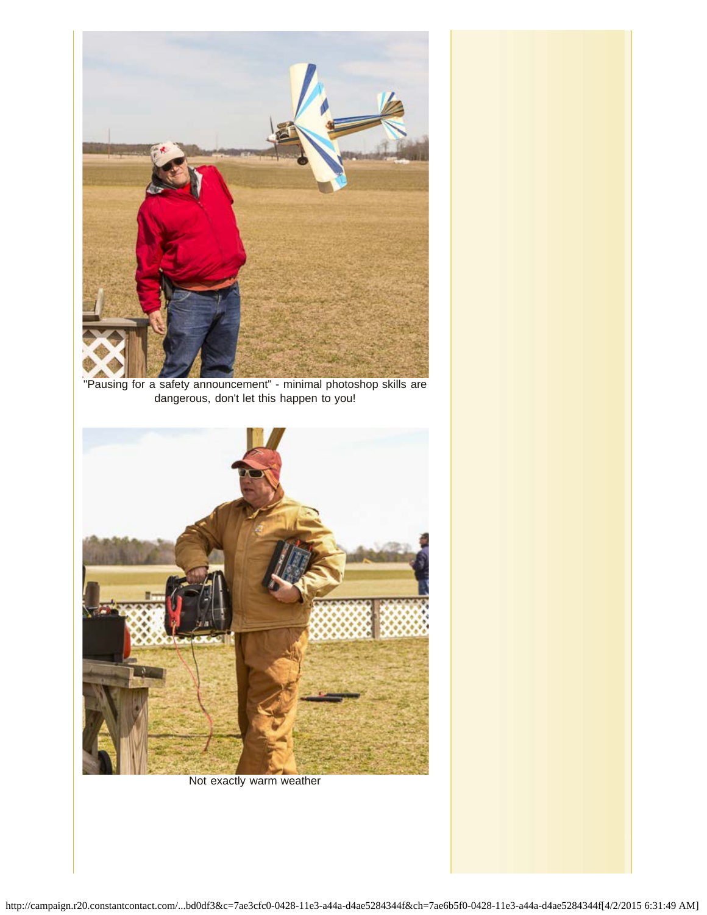

"Pausing for a safety announcement" - minimal photoshop skills are dangerous, don't let this happen to you!



Not exactly warm weather